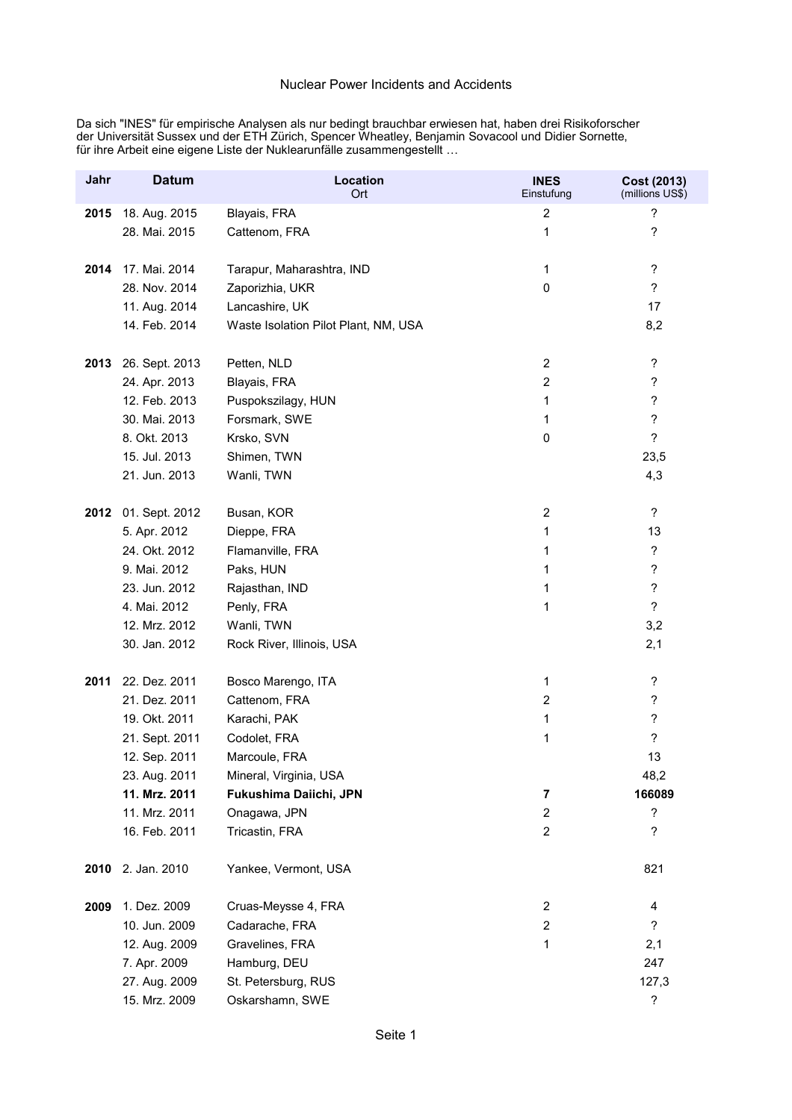Da sich "INES" für empirische Analysen als nur bedingt brauchbar erwiesen hat, haben drei Risikoforscher der Universität Sussex und der ETH Zürich, Spencer Wheatley, Benjamin Sovacool und Didier Sornette, für ihre Arbeit eine eigene Liste der Nuklearunfälle zusammengestellt …

| Jahr | <b>Datum</b>   | <b>Location</b><br><b>Ort</b>        | <b>INES</b><br>Einstufung | Cost (2013)<br>(millions US\$) |
|------|----------------|--------------------------------------|---------------------------|--------------------------------|
| 2015 | 18. Aug. 2015  | Blayais, FRA                         | $\overline{c}$            | ?                              |
|      | 28. Mai. 2015  | Cattenom, FRA                        | 1                         | $\overline{\phantom{a}}$       |
|      |                |                                      |                           |                                |
| 2014 | 17. Mai. 2014  | Tarapur, Maharashtra, IND            | 1                         | $\overline{\mathcal{E}}$       |
|      | 28. Nov. 2014  | Zaporizhia, UKR                      | 0                         | $\overline{\phantom{a}}$       |
|      | 11. Aug. 2014  | Lancashire, UK                       |                           | 17                             |
|      | 14. Feb. 2014  | Waste Isolation Pilot Plant, NM, USA |                           | 8,2                            |
|      |                |                                      |                           |                                |
| 2013 | 26. Sept. 2013 | Petten, NLD                          | $\overline{c}$            | $\boldsymbol{\mathcal{P}}$     |
|      | 24. Apr. 2013  | Blayais, FRA                         | $\boldsymbol{2}$          | $\boldsymbol{\cdot}$           |
|      | 12. Feb. 2013  | Puspokszilagy, HUN                   | 1                         | $\overline{\phantom{a}}$       |
|      | 30. Mai. 2013  | Forsmark, SWE                        | 1                         | $\overline{\mathcal{E}}$       |
|      | 8. Okt. 2013   | Krsko, SVN                           | 0                         | $\ddot{?}$                     |
|      | 15. Jul. 2013  | Shimen, TWN                          |                           | 23,5                           |
|      | 21. Jun. 2013  | Wanli, TWN                           |                           | 4,3                            |
|      |                |                                      |                           |                                |
| 2012 | 01. Sept. 2012 | Busan, KOR                           | $\boldsymbol{2}$          | $\ddot{\phantom{0}}$           |
|      | 5. Apr. 2012   | Dieppe, FRA                          | 1                         | 13                             |
|      | 24. Okt. 2012  | Flamanville, FRA                     | 1                         | $\overline{\mathcal{E}}$       |
|      | 9. Mai. 2012   | Paks, HUN                            | 1                         | $\overline{\mathcal{E}}$       |
|      | 23. Jun. 2012  | Rajasthan, IND                       | 1                         | $\overline{\mathcal{E}}$       |
|      | 4. Mai. 2012   | Penly, FRA                           | 1                         | $\overline{\phantom{a}}$       |
|      | 12. Mrz. 2012  | Wanli, TWN                           |                           | 3,2                            |
|      | 30. Jan. 2012  | Rock River, Illinois, USA            |                           | 2,1                            |
| 2011 | 22. Dez. 2011  | Bosco Marengo, ITA                   | 1                         | $\boldsymbol{?}$               |
|      | 21. Dez. 2011  | Cattenom, FRA                        | $\overline{c}$            | $\boldsymbol{\mathcal{P}}$     |
|      | 19. Okt. 2011  | Karachi, PAK                         | 1                         | $\overline{\mathcal{E}}$       |
|      | 21. Sept. 2011 | Codolet, FRA                         | 1                         | $\overline{?}$                 |
|      | 12. Sep. 2011  | Marcoule, FRA                        |                           | 13                             |
|      | 23. Aug. 2011  | Mineral, Virginia, USA               |                           | 48,2                           |
|      | 11. Mrz. 2011  | Fukushima Daiichi, JPN               | 7                         | 166089                         |
|      | 11. Mrz. 2011  | Onagawa, JPN                         | $\overline{c}$            | $\overline{\mathcal{E}}$       |
|      | 16. Feb. 2011  | Tricastin, FRA                       | $\boldsymbol{2}$          | ?                              |
|      |                |                                      |                           |                                |
| 2010 | 2. Jan. 2010   | Yankee, Vermont, USA                 |                           | 821                            |
| 2009 | 1. Dez. 2009   | Cruas-Meysse 4, FRA                  | $\boldsymbol{2}$          | 4                              |
|      | 10. Jun. 2009  | Cadarache, FRA                       | $\overline{c}$            | $\ddot{?}$                     |
|      | 12. Aug. 2009  | Gravelines, FRA                      | 1                         | 2,1                            |
|      | 7. Apr. 2009   | Hamburg, DEU                         |                           | 247                            |
|      | 27. Aug. 2009  | St. Petersburg, RUS                  |                           | 127,3                          |
|      | 15. Mrz. 2009  | Oskarshamn, SWE                      |                           | $\boldsymbol{\mathcal{P}}$     |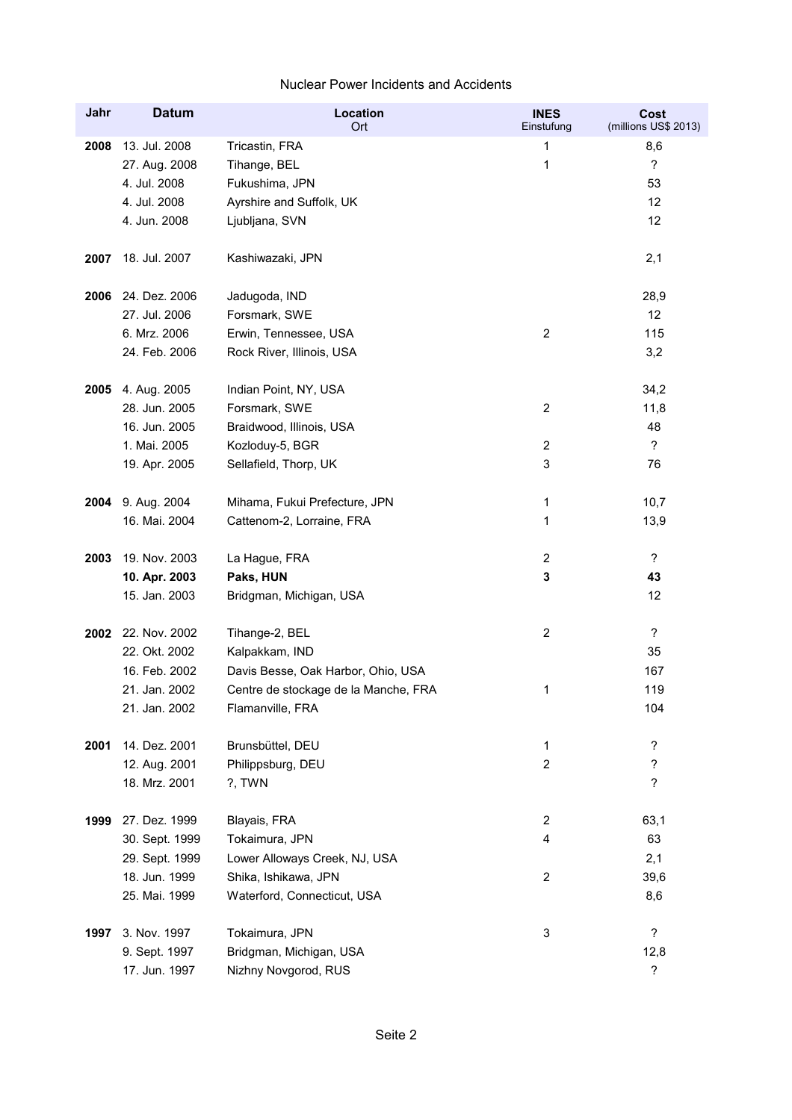| Jahr | <b>Datum</b>       | <b>Location</b><br>Ort               | <b>INES</b><br>Einstufung | Cost<br>(millions US\$ 2013) |
|------|--------------------|--------------------------------------|---------------------------|------------------------------|
| 2008 | 13. Jul. 2008      | Tricastin, FRA                       | 1                         | 8,6                          |
|      | 27. Aug. 2008      | Tihange, BEL                         | 1                         | $\overline{\phantom{a}}$     |
|      | 4. Jul. 2008       | Fukushima, JPN                       |                           | 53                           |
|      | 4. Jul. 2008       | Ayrshire and Suffolk, UK             |                           | 12                           |
|      | 4. Jun. 2008       | Ljubljana, SVN                       |                           | 12                           |
| 2007 | 18. Jul. 2007      | Kashiwazaki, JPN                     |                           | 2,1                          |
| 2006 | 24. Dez. 2006      | Jadugoda, IND                        |                           | 28,9                         |
|      | 27. Jul. 2006      | Forsmark, SWE                        |                           | 12                           |
|      | 6. Mrz. 2006       | Erwin, Tennessee, USA                | $\boldsymbol{2}$          | 115                          |
|      | 24. Feb. 2006      | Rock River, Illinois, USA            |                           | 3,2                          |
| 2005 | 4. Aug. 2005       | Indian Point, NY, USA                |                           | 34,2                         |
|      | 28. Jun. 2005      | Forsmark, SWE                        | $\overline{c}$            | 11,8                         |
|      | 16. Jun. 2005      | Braidwood, Illinois, USA             |                           | 48                           |
|      | 1. Mai. 2005       | Kozloduy-5, BGR                      | $\overline{c}$            | $\overline{?}$               |
|      | 19. Apr. 2005      | Sellafield, Thorp, UK                | 3                         | 76                           |
|      | 2004 9. Aug. 2004  | Mihama, Fukui Prefecture, JPN        | 1                         | 10,7                         |
|      | 16. Mai. 2004      | Cattenom-2, Lorraine, FRA            | 1                         | 13,9                         |
| 2003 | 19. Nov. 2003      | La Hague, FRA                        | $\overline{c}$            | $\overline{?}$               |
|      | 10. Apr. 2003      | Paks, HUN                            | 3                         | 43                           |
|      | 15. Jan. 2003      | Bridgman, Michigan, USA              |                           | 12                           |
|      | 2002 22. Nov. 2002 | Tihange-2, BEL                       | $\overline{c}$            | $\overline{\phantom{a}}$     |
|      | 22. Okt. 2002      | Kalpakkam, IND                       |                           | 35                           |
|      | 16. Feb. 2002      | Davis Besse, Oak Harbor, Ohio, USA   |                           | 167                          |
|      | 21. Jan. 2002      | Centre de stockage de la Manche, FRA | 1                         | 119                          |
|      | 21. Jan. 2002      | Flamanville, FRA                     |                           | 104                          |
| 2001 | 14. Dez. 2001      | Brunsbüttel, DEU                     | 1                         | ?                            |
|      | 12. Aug. 2001      | Philippsburg, DEU                    | $\overline{c}$            | ?                            |
|      | 18. Mrz. 2001      | ?, TWN                               |                           | $\overline{?}$               |
| 1999 | 27. Dez. 1999      | Blayais, FRA                         | $\overline{c}$            | 63,1                         |
|      | 30. Sept. 1999     | Tokaimura, JPN                       | 4                         | 63                           |
|      | 29. Sept. 1999     | Lower Alloways Creek, NJ, USA        |                           | 2,1                          |
|      | 18. Jun. 1999      | Shika, Ishikawa, JPN                 | $\overline{c}$            | 39,6                         |
|      | 25. Mai. 1999      | Waterford, Connecticut, USA          |                           | 8,6                          |
| 1997 | 3. Nov. 1997       | Tokaimura, JPN                       | 3                         | $\overline{\cdot}$           |
|      | 9. Sept. 1997      | Bridgman, Michigan, USA              |                           | 12,8                         |
|      | 17. Jun. 1997      | Nizhny Novgorod, RUS                 |                           | $\overline{\phantom{a}}$     |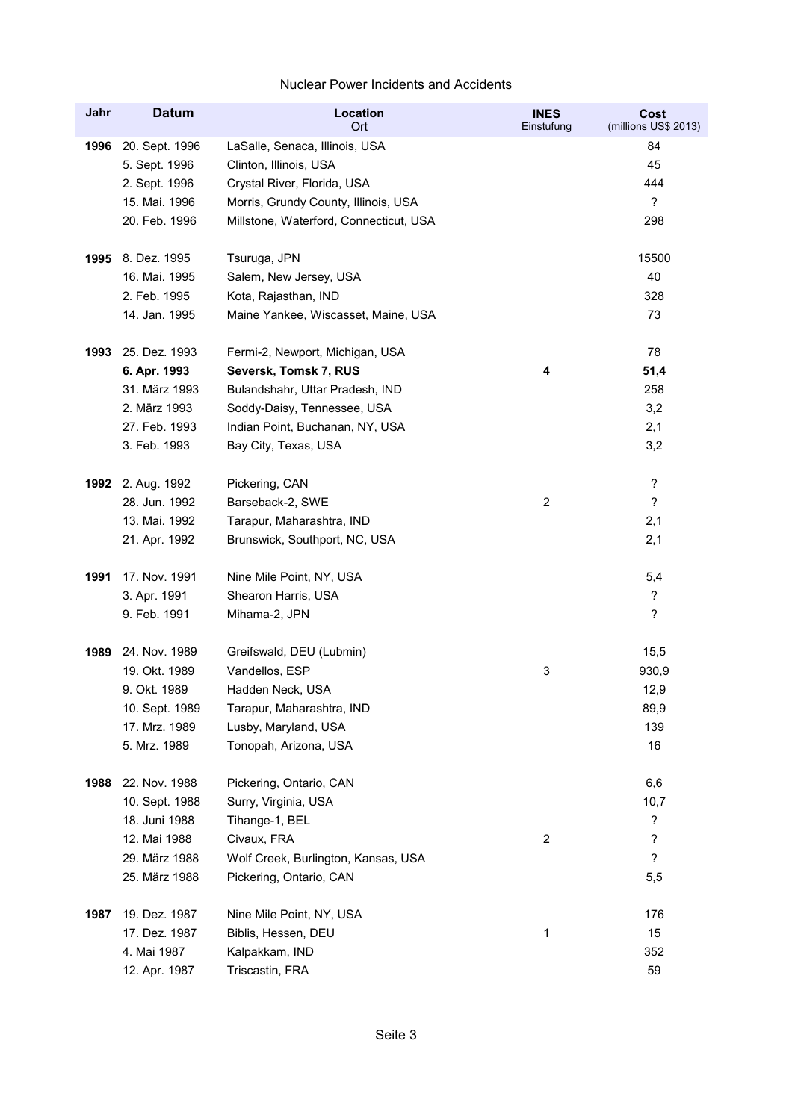| Jahr | <b>Datum</b>      | Location<br>Ort                        | <b>INES</b><br>Einstufung | Cost<br>(millions US\$ 2013) |
|------|-------------------|----------------------------------------|---------------------------|------------------------------|
| 1996 | 20. Sept. 1996    | LaSalle, Senaca, Illinois, USA         |                           | 84                           |
|      | 5. Sept. 1996     | Clinton, Illinois, USA                 |                           | 45                           |
|      | 2. Sept. 1996     | Crystal River, Florida, USA            |                           | 444                          |
|      | 15. Mai. 1996     | Morris, Grundy County, Illinois, USA   |                           | $\overline{\phantom{a}}$     |
|      | 20. Feb. 1996     | Millstone, Waterford, Connecticut, USA |                           | 298                          |
| 1995 | 8. Dez. 1995      | Tsuruga, JPN                           |                           | 15500                        |
|      | 16. Mai. 1995     | Salem, New Jersey, USA                 |                           | 40                           |
|      | 2. Feb. 1995      | Kota, Rajasthan, IND                   |                           | 328                          |
|      | 14. Jan. 1995     | Maine Yankee, Wiscasset, Maine, USA    |                           | 73                           |
| 1993 | 25. Dez. 1993     | Fermi-2, Newport, Michigan, USA        |                           | 78                           |
|      | 6. Apr. 1993      | Seversk, Tomsk 7, RUS                  | 4                         | 51,4                         |
|      | 31. März 1993     | Bulandshahr, Uttar Pradesh, IND        |                           | 258                          |
|      | 2. März 1993      | Soddy-Daisy, Tennessee, USA            |                           | 3,2                          |
|      | 27. Feb. 1993     | Indian Point, Buchanan, NY, USA        |                           | 2,1                          |
|      | 3. Feb. 1993      | Bay City, Texas, USA                   |                           | 3,2                          |
|      | 1992 2. Aug. 1992 | Pickering, CAN                         |                           | $\ddot{?}$                   |
|      | 28. Jun. 1992     | Barseback-2, SWE                       | $\overline{c}$            | $\overline{?}$               |
|      | 13. Mai. 1992     | Tarapur, Maharashtra, IND              |                           | 2,1                          |
|      | 21. Apr. 1992     | Brunswick, Southport, NC, USA          |                           | 2,1                          |
| 1991 | 17. Nov. 1991     | Nine Mile Point, NY, USA               |                           | 5,4                          |
|      | 3. Apr. 1991      | Shearon Harris, USA                    |                           | $\boldsymbol{\mathcal{P}}$   |
|      | 9. Feb. 1991      | Mihama-2, JPN                          |                           | $\overline{\phantom{a}}$     |
| 1989 | 24. Nov. 1989     | Greifswald, DEU (Lubmin)               |                           | 15,5                         |
|      | 19. Okt. 1989     | Vandellos, ESP                         | 3                         | 930,9                        |
|      | 9. Okt. 1989      | Hadden Neck, USA                       |                           | 12,9                         |
|      | 10. Sept. 1989    | Tarapur, Maharashtra, IND              |                           | 89,9                         |
|      | 17. Mrz. 1989     | Lusby, Maryland, USA                   |                           | 139                          |
|      | 5. Mrz. 1989      | Tonopah, Arizona, USA                  |                           | 16                           |
| 1988 | 22. Nov. 1988     | Pickering, Ontario, CAN                |                           | 6,6                          |
|      | 10. Sept. 1988    | Surry, Virginia, USA                   |                           | 10,7                         |
|      | 18. Juni 1988     | Tihange-1, BEL                         |                           | $\overline{\phantom{a}}$     |
|      | 12. Mai 1988      | Civaux, FRA                            | 2                         | $\ddot{\phantom{0}}$         |
|      | 29. März 1988     | Wolf Creek, Burlington, Kansas, USA    |                           | $\ddot{?}$                   |
|      | 25. März 1988     | Pickering, Ontario, CAN                |                           | 5,5                          |
| 1987 | 19. Dez. 1987     | Nine Mile Point, NY, USA               |                           | 176                          |
|      | 17. Dez. 1987     | Biblis, Hessen, DEU                    | 1                         | 15                           |
|      | 4. Mai 1987       | Kalpakkam, IND                         |                           | 352                          |
|      | 12. Apr. 1987     | Triscastin, FRA                        |                           | 59                           |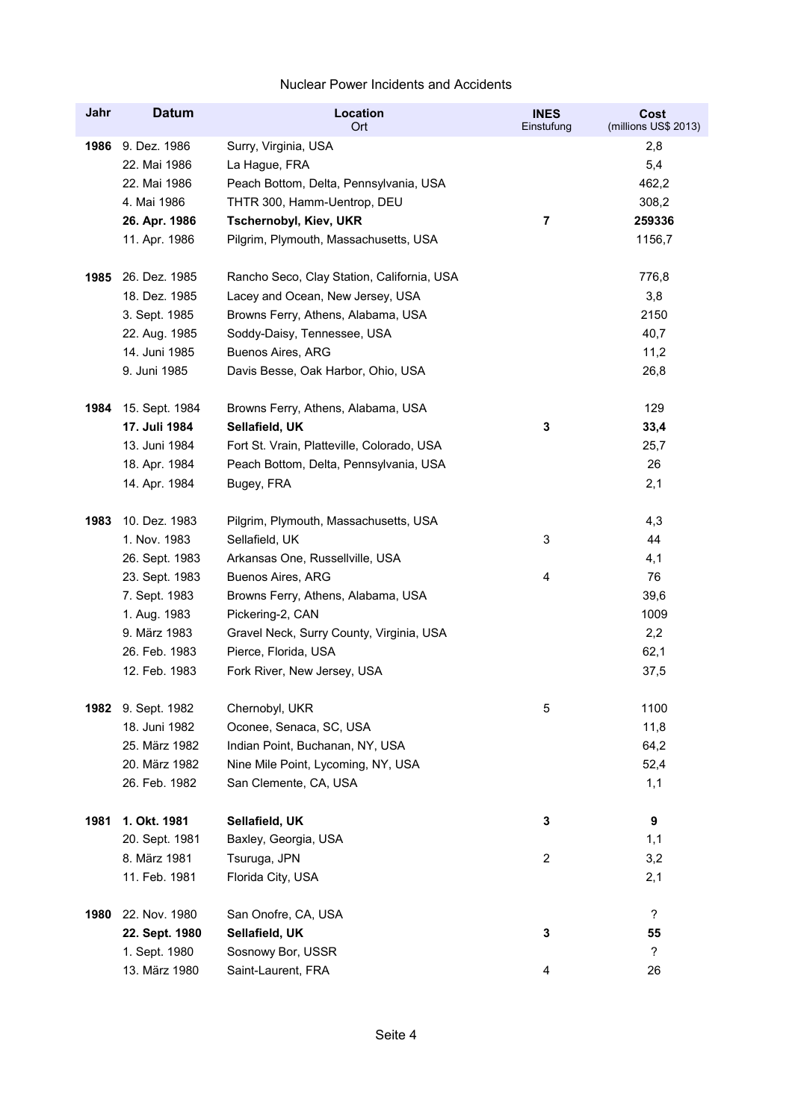| Jahr | <b>Datum</b>   | Location<br><b>Ort</b>                     | <b>INES</b><br>Einstufung | Cost<br>(millions US\$ 2013) |
|------|----------------|--------------------------------------------|---------------------------|------------------------------|
| 1986 | 9. Dez. 1986   | Surry, Virginia, USA                       |                           | 2,8                          |
|      | 22. Mai 1986   | La Hague, FRA                              |                           | 5,4                          |
|      | 22. Mai 1986   | Peach Bottom, Delta, Pennsylvania, USA     |                           | 462,2                        |
|      | 4. Mai 1986    | THTR 300, Hamm-Uentrop, DEU                |                           | 308,2                        |
|      | 26. Apr. 1986  | Tschernobyl, Kiev, UKR                     | 7                         | 259336                       |
|      | 11. Apr. 1986  | Pilgrim, Plymouth, Massachusetts, USA      |                           | 1156,7                       |
| 1985 | 26. Dez. 1985  | Rancho Seco, Clay Station, California, USA |                           | 776,8                        |
|      | 18. Dez. 1985  | Lacey and Ocean, New Jersey, USA           |                           | 3,8                          |
|      | 3. Sept. 1985  | Browns Ferry, Athens, Alabama, USA         |                           | 2150                         |
|      | 22. Aug. 1985  | Soddy-Daisy, Tennessee, USA                |                           | 40,7                         |
|      | 14. Juni 1985  | Buenos Aires, ARG                          |                           | 11,2                         |
|      | 9. Juni 1985   | Davis Besse, Oak Harbor, Ohio, USA         |                           | 26,8                         |
| 1984 | 15. Sept. 1984 | Browns Ferry, Athens, Alabama, USA         |                           | 129                          |
|      | 17. Juli 1984  | Sellafield, UK                             | 3                         | 33,4                         |
|      | 13. Juni 1984  | Fort St. Vrain, Platteville, Colorado, USA |                           | 25,7                         |
|      | 18. Apr. 1984  | Peach Bottom, Delta, Pennsylvania, USA     |                           | 26                           |
|      | 14. Apr. 1984  | Bugey, FRA                                 |                           | 2,1                          |
| 1983 | 10. Dez. 1983  | Pilgrim, Plymouth, Massachusetts, USA      |                           | 4,3                          |
|      | 1. Nov. 1983   | Sellafield, UK                             | 3                         | 44                           |
|      | 26. Sept. 1983 | Arkansas One, Russellville, USA            |                           | 4,1                          |
|      | 23. Sept. 1983 | Buenos Aires, ARG                          | 4                         | 76                           |
|      | 7. Sept. 1983  | Browns Ferry, Athens, Alabama, USA         |                           | 39,6                         |
|      | 1. Aug. 1983   | Pickering-2, CAN                           |                           | 1009                         |
|      | 9. März 1983   | Gravel Neck, Surry County, Virginia, USA   |                           | 2,2                          |
|      | 26. Feb. 1983  | Pierce, Florida, USA                       |                           | 62,1                         |
|      | 12. Feb. 1983  | Fork River, New Jersey, USA                |                           | 37,5                         |
| 1982 | 9. Sept. 1982  | Chernobyl, UKR                             | 5                         | 1100                         |
|      | 18. Juni 1982  | Oconee, Senaca, SC, USA                    |                           | 11,8                         |
|      | 25. März 1982  | Indian Point, Buchanan, NY, USA            |                           | 64,2                         |
|      | 20. März 1982  | Nine Mile Point, Lycoming, NY, USA         |                           | 52,4                         |
|      | 26. Feb. 1982  | San Clemente, CA, USA                      |                           | 1,1                          |
| 1981 | 1. Okt. 1981   | Sellafield, UK                             | 3                         | 9                            |
|      | 20. Sept. 1981 | Baxley, Georgia, USA                       |                           | 1,1                          |
|      | 8. März 1981   | Tsuruga, JPN                               | $\overline{c}$            | 3,2                          |
|      | 11. Feb. 1981  | Florida City, USA                          |                           | 2,1                          |
| 1980 | 22. Nov. 1980  | San Onofre, CA, USA                        |                           | $\overline{\phantom{a}}$     |
|      | 22. Sept. 1980 | Sellafield, UK                             | 3                         | 55                           |
|      | 1. Sept. 1980  | Sosnowy Bor, USSR                          |                           | ?                            |
|      | 13. März 1980  | Saint-Laurent, FRA                         | $\overline{\mathbf{4}}$   | 26                           |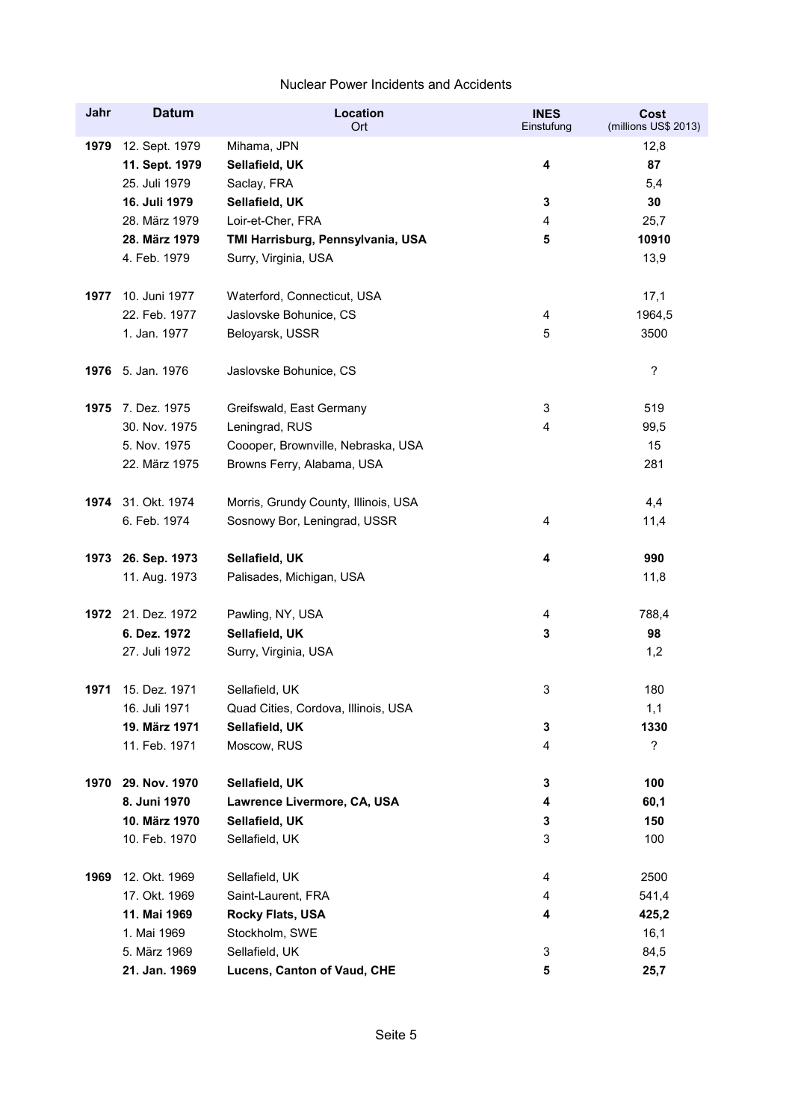| Jahr | <b>Datum</b>       | <b>Location</b><br>Ort               | <b>INES</b><br>Einstufung | Cost<br>(millions US\$ 2013) |
|------|--------------------|--------------------------------------|---------------------------|------------------------------|
| 1979 | 12. Sept. 1979     | Mihama, JPN                          |                           | 12,8                         |
|      | 11. Sept. 1979     | Sellafield, UK                       | 4                         | 87                           |
|      | 25. Juli 1979      | Saclay, FRA                          |                           | 5,4                          |
|      | 16. Juli 1979      | Sellafield, UK                       | 3                         | 30                           |
|      | 28. März 1979      | Loir-et-Cher, FRA                    | 4                         | 25,7                         |
|      | 28. März 1979      | TMI Harrisburg, Pennsylvania, USA    | 5                         | 10910                        |
|      | 4. Feb. 1979       | Surry, Virginia, USA                 |                           | 13,9                         |
| 1977 | 10. Juni 1977      | Waterford, Connecticut, USA          |                           | 17,1                         |
|      | 22. Feb. 1977      | Jaslovske Bohunice, CS               | 4                         | 1964,5                       |
|      | 1. Jan. 1977       | Beloyarsk, USSR                      | 5                         | 3500                         |
|      | 1976 5. Jan. 1976  | Jaslovske Bohunice, CS               |                           | ?                            |
|      | 1975 7. Dez. 1975  | Greifswald, East Germany             | 3                         | 519                          |
|      | 30. Nov. 1975      | Leningrad, RUS                       | 4                         | 99,5                         |
|      | 5. Nov. 1975       | Coooper, Brownville, Nebraska, USA   |                           | 15                           |
|      | 22. März 1975      | Browns Ferry, Alabama, USA           |                           | 281                          |
|      | 1974 31. Okt. 1974 | Morris, Grundy County, Illinois, USA |                           | 4,4                          |
|      | 6. Feb. 1974       | Sosnowy Bor, Leningrad, USSR         | 4                         | 11,4                         |
| 1973 | 26. Sep. 1973      | Sellafield, UK                       | 4                         | 990                          |
|      | 11. Aug. 1973      | Palisades, Michigan, USA             |                           | 11,8                         |
|      | 1972 21. Dez. 1972 | Pawling, NY, USA                     | 4                         | 788,4                        |
|      | 6. Dez. 1972       | Sellafield, UK                       | 3                         | 98                           |
|      | 27. Juli 1972      | Surry, Virginia, USA                 |                           | 1,2                          |
| 1971 | 15. Dez. 1971      | Sellafield, UK                       | 3                         | 180                          |
|      | 16. Juli 1971      | Quad Cities, Cordova, Illinois, USA  |                           | 1,1                          |
|      | 19. März 1971      | Sellafield, UK                       | 3                         | 1330                         |
|      | 11. Feb. 1971      | Moscow, RUS                          | 4                         | $\overline{?}$               |
| 1970 | 29. Nov. 1970      | Sellafield, UK                       | 3                         | 100                          |
|      | 8. Juni 1970       | Lawrence Livermore, CA, USA          | 4                         | 60,1                         |
|      | 10. März 1970      | Sellafield, UK                       | 3                         | 150                          |
|      | 10. Feb. 1970      | Sellafield, UK                       | 3                         | 100                          |
| 1969 | 12. Okt. 1969      | Sellafield, UK                       | 4                         | 2500                         |
|      | 17. Okt. 1969      | Saint-Laurent, FRA                   | 4                         | 541,4                        |
|      | 11. Mai 1969       | Rocky Flats, USA                     | 4                         | 425,2                        |
|      | 1. Mai 1969        | Stockholm, SWE                       |                           | 16,1                         |
|      | 5. März 1969       | Sellafield, UK                       | 3                         | 84,5                         |
|      | 21. Jan. 1969      | Lucens, Canton of Vaud, CHE          | 5                         | 25,7                         |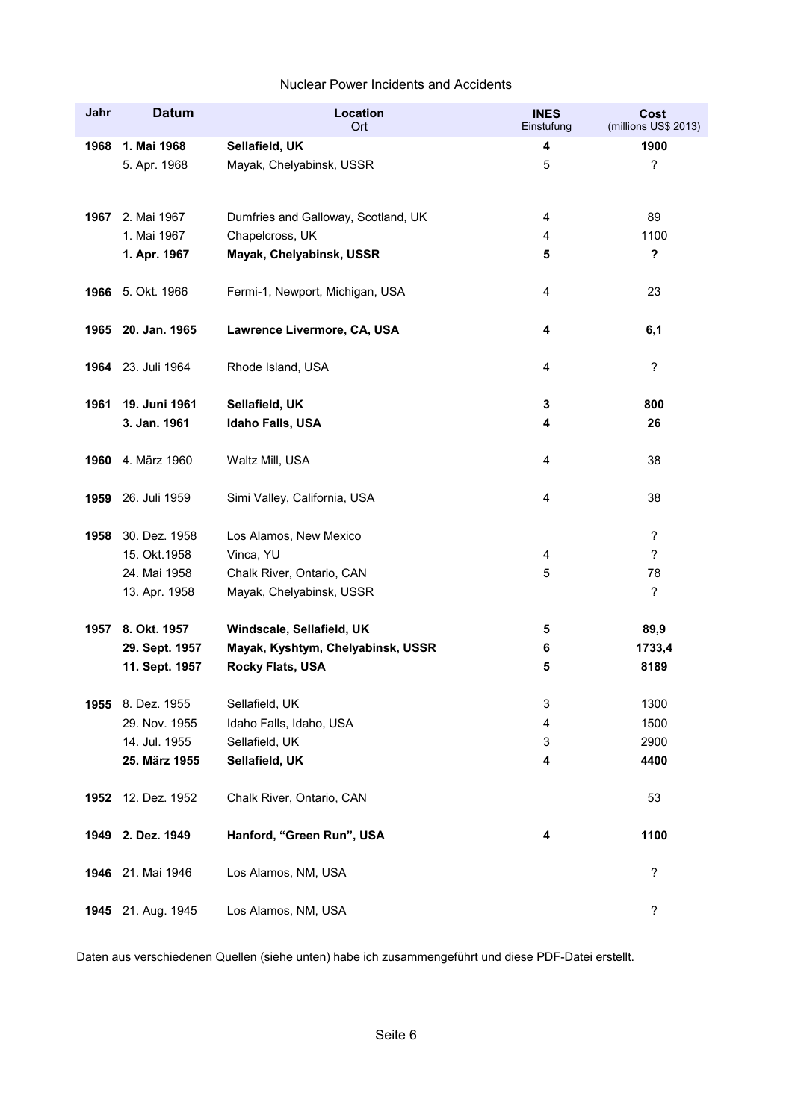| Jahr | <b>Datum</b>       | Location<br>Ort                     | <b>INES</b><br>Einstufung | Cost<br>(millions US\$ 2013) |
|------|--------------------|-------------------------------------|---------------------------|------------------------------|
| 1968 | 1. Mai 1968        | Sellafield, UK                      | 4                         | 1900                         |
|      | 5. Apr. 1968       | Mayak, Chelyabinsk, USSR            | 5                         | ?                            |
|      | 1967 2. Mai 1967   | Dumfries and Galloway, Scotland, UK | 4                         | 89                           |
|      | 1. Mai 1967        | Chapelcross, UK                     | 4                         | 1100                         |
|      | 1. Apr. 1967       | Mayak, Chelyabinsk, USSR            | 5                         | $\boldsymbol{\mathsf{?}}$    |
| 1966 | 5. Okt. 1966       | Fermi-1, Newport, Michigan, USA     | 4                         | 23                           |
|      | 1965 20. Jan. 1965 | Lawrence Livermore, CA, USA         | 4                         | 6,1                          |
|      | 1964 23. Juli 1964 | Rhode Island, USA                   | 4                         | ?                            |
| 1961 | 19. Juni 1961      | Sellafield, UK                      | 3                         | 800                          |
|      | 3. Jan. 1961       | Idaho Falls, USA                    | 4                         | 26                           |
|      | 1960 4. März 1960  | Waltz Mill, USA                     | 4                         | 38                           |
| 1959 | 26. Juli 1959      | Simi Valley, California, USA        | 4                         | 38                           |
| 1958 | 30. Dez. 1958      | Los Alamos, New Mexico              |                           | $\ddot{\phantom{0}}$         |
|      | 15. Okt. 1958      | Vinca, YU                           | 4                         | ?                            |
|      | 24. Mai 1958       | Chalk River, Ontario, CAN           | 5                         | 78                           |
|      | 13. Apr. 1958      | Mayak, Chelyabinsk, USSR            |                           | ?                            |
| 1957 | 8. Okt. 1957       | Windscale, Sellafield, UK           | 5                         | 89,9                         |
|      | 29. Sept. 1957     | Mayak, Kyshtym, Chelyabinsk, USSR   | 6                         | 1733,4                       |
|      | 11. Sept. 1957     | <b>Rocky Flats, USA</b>             | 5                         | 8189                         |
| 1955 | 8. Dez. 1955       | Sellafield, UK                      | 3                         | 1300                         |
|      | 29. Nov. 1955      | Idaho Falls, Idaho, USA             | 4                         | 1500                         |
|      | 14. Jul. 1955      | Sellafield, UK                      | 3                         | 2900                         |
|      | 25. März 1955      | Sellafield, UK                      | 4                         | 4400                         |
| 1952 | 12. Dez. 1952      | Chalk River, Ontario, CAN           |                           | 53                           |
| 1949 | 2. Dez. 1949       | Hanford, "Green Run", USA           | 4                         | 1100                         |
|      | 1946 21. Mai 1946  | Los Alamos, NM, USA                 |                           | ?                            |
|      | 1945 21. Aug. 1945 | Los Alamos, NM, USA                 |                           | ?                            |

Daten aus verschiedenen Quellen (siehe unten) habe ich zusammengeführt und diese PDF-Datei erstellt.